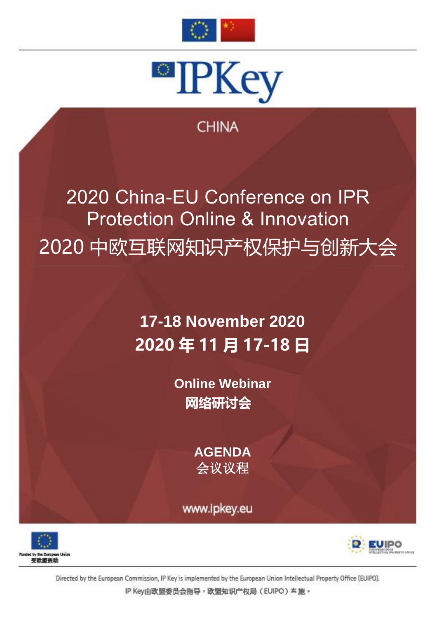



### **CHINA**

# 2020 China-EU Conference on IPR Protection Online & Innovation 2020 中欧互联网知识产权保护与创新大会

## **17-18 November 2020 2020 年 11 月 17-18 日**

**Online Webinar 网络研讨会**

> **AGENDA** 会议议程

www.ipkey.eu





Directed by the European Commission, IP Key is implemented by the European Union Intellectual Property Office (EUIPO).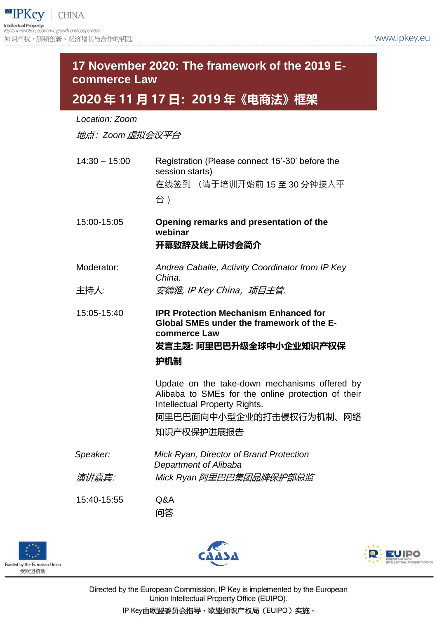### *Location: Zoom* 地点:*Zoom* 虚拟会议平台 14:30 – 15:00 Registration (Please connect 15'-30' before the session starts) 在线签到 (请于培训开始前 15 至 30 分钟接入平 台) 15:00-15:05 **Opening remarks and presentation of the webinar 开幕致辞及线上研讨会简介** Moderator: *Andrea Caballe, Activity Coordinator from IP Key China.* 主持人: *安德雅, IP Key China, 项目主管.* 15:05-15:40 **IPR Protection Mechanism Enhanced for Global SMEs under the framework of the Ecommerce Law 发言主题: 阿里巴巴升级全球中小企业知识产权保 护机制** Update on the take-down mechanisms offered by Alibaba to SMEs for the online protection of their Intellectual Property Rights. 阿里巴巴面向中小型企业的打击侵权行为机制、网络 **17 November 2020: The framework of the 2019 Ecommerce Law 2020 年 11 月 17 日:2019 年《电商法》框架**

知识产权保护进展报告

*Speaker: Mick Ryan, Director of Brand Protection Department of Alibaba* 演讲嘉宾: *Mick Ryan* 阿里巴巴集团品牌保护部总监

15:40-15:55 Q&A

问答







Directed by the European Commission, IP Key is implemented by the European Union Intellectual Property Office (EUIPO).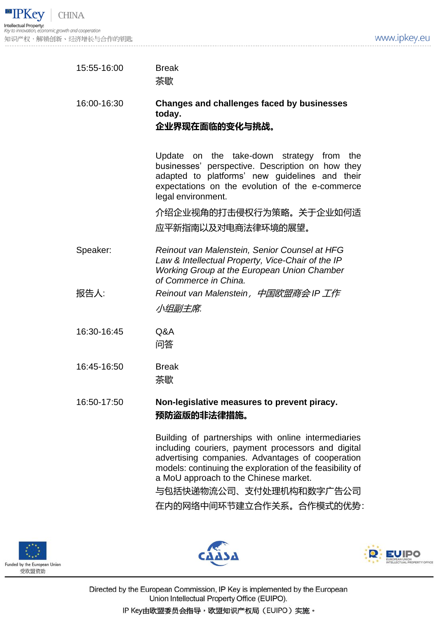| 15:55-16:00 | <b>Break</b><br>茶歇                                                                                                                                                                                                                      |
|-------------|-----------------------------------------------------------------------------------------------------------------------------------------------------------------------------------------------------------------------------------------|
| 16:00-16:30 | <b>Changes and challenges faced by businesses</b><br>today.<br>企业界现在面临的变化与挑战。                                                                                                                                                           |
|             | on the take-down<br>the<br>Update<br>strategy<br>from<br>businesses' perspective. Description on how they<br>adapted to platforms' new guidelines and<br>their<br>expectations on the evolution of the e-commerce<br>legal environment. |
|             | 介绍企业视角的打击侵权行为策略。关于企业如何适                                                                                                                                                                                                                 |
|             | 应平新指南以及对电商法律环境的展望。                                                                                                                                                                                                                      |
| Speaker:    | Reinout van Malenstein, Senior Counsel at HFG<br>Law & Intellectual Property, Vice-Chair of the IP<br><b>Working Group at the European Union Chamber</b><br>of Commerce in China.                                                       |
| 报告人:        | Reinout van Malenstein,中国欧盟商会 IP 工作<br>小组副主席.                                                                                                                                                                                           |
| 16:30-16:45 | Q&A<br>问答                                                                                                                                                                                                                               |
| 16:45-16:50 | <b>Break</b><br>茶歇                                                                                                                                                                                                                      |
| 16:50-17:50 | Non-legislative measures to prevent piracy.<br>预防盗版的非法律措施。                                                                                                                                                                              |
|             | Building of partnerships with online intermediaries<br>including couriers, payment processors and digital<br>advertising companies. Advantages of cooperation                                                                           |

a MoU approach to the Chinese market. 与包括快递物流公司、支付处理机构和数字广告公司 在内的网络中间环节建立合作关系。合作模式的优势:

models: continuing the exploration of the feasibility of







Directed by the European Commission, IP Key is implemented by the European Union Intellectual Property Office (EUIPO).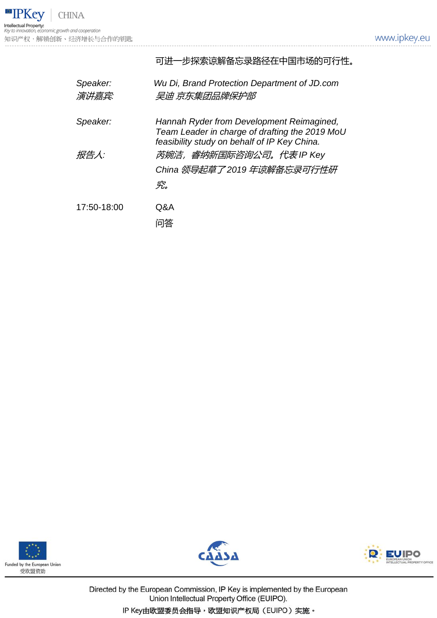

|                   | 可进一步探索谅解备忘录路径在中国市场的可行性。                                                                                                                     |
|-------------------|---------------------------------------------------------------------------------------------------------------------------------------------|
| Speaker:<br>演讲嘉宾: | Wu Di, Brand Protection Department of JD.com<br>吴迪 京东集团品牌保护部                                                                                |
| Speaker:          | Hannah Ryder from Development Reimagined,<br>Team Leader in charge of drafting the 2019 MoU<br>feasibility study on behalf of IP Key China. |
| 报告人:              | 芮婉洁,睿纳新国际咨询公司。代表 IP Key<br>究。                                                                                                               |
| 17:50-18:00       | Q&A<br>问答                                                                                                                                   |







Directed by the European Commission, IP Key is implemented by the European Union Intellectual Property Office (EUIPO).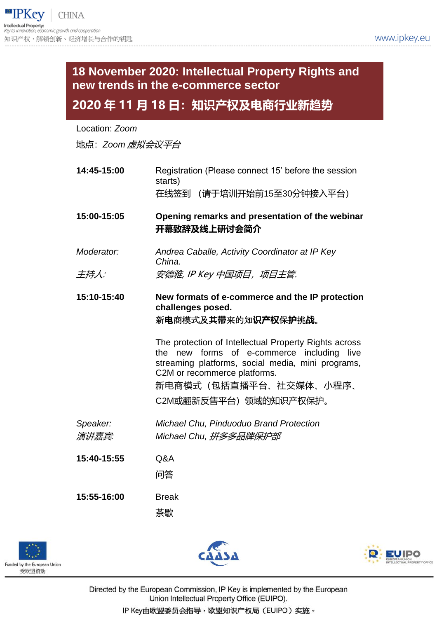### **18 November 2020: Intellectual Property Rights and new trends in the e-commerce sector**

#### **2020 年 11 月 18 日:知识产权及电商行业新趋势**

Location: *Zoom*

地点:*Zoom* 虚拟会议平台

**14:45-15:00** Registration (Please connect 15' before the session starts) 在线签到 (请于培训开始前15至30分钟接入平台) **15:00-15:05 Opening remarks and presentation of the webinar 开幕致辞及线上研讨会简介** *Moderator: Andrea Caballe, Activity Coordinator at IP Key China.* 主持人: *安德雅, IP Key 中国项目,项目主管.* **15:10-15:40 New formats of e-commerce and the IP protection challenges posed.** 新**电**商模式及其**带**来的知**识产权**保**护**挑**战**。 The protection of Intellectual Property Rights across the new forms of e-commerce including live streaming platforms, social media, mini programs, C2M or recommerce platforms. 新电商模式(包括直播平台、社交媒体、小程序、 C2M或翻新反售平台)领域的知识产权保护。 *Speaker: Michael Chu, Pinduoduo Brand Protection* 演讲嘉宾*: Michael Chu,* 拼多多品牌保护部 **15:40-15:55** Q&A 问答 **15:55-16:00** Break 茶歇







Directed by the European Commission, IP Key is implemented by the European Union Intellectual Property Office (EUIPO).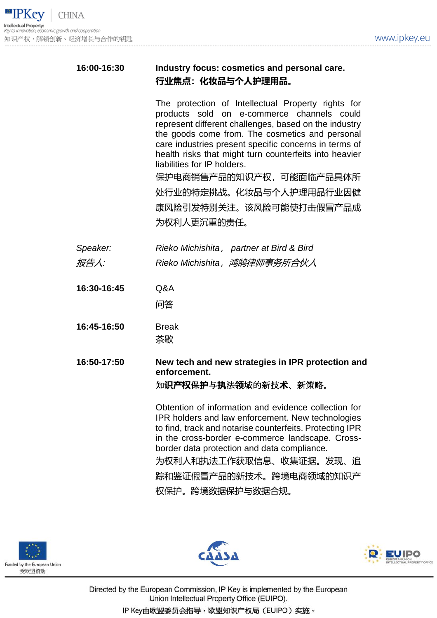

| 16:00-16:30 | Industry focus: cosmetics and personal care.<br>行业焦点:化妆品与个人护理用品。                                                                                                                                                                                                                                                                                                                                                                                               |
|-------------|----------------------------------------------------------------------------------------------------------------------------------------------------------------------------------------------------------------------------------------------------------------------------------------------------------------------------------------------------------------------------------------------------------------------------------------------------------------|
|             | The protection of Intellectual Property rights for<br>products sold on e-commerce channels could<br>represent different challenges, based on the industry<br>the goods come from. The cosmetics and personal<br>care industries present specific concerns in terms of<br>health risks that might turn counterfeits into heavier<br>liabilities for IP holders.<br>保护电商销售产品的知识产权,可能面临产品具体所<br>处行业的特定挑战。化妆品与个人护理用品行业因健<br>康风险引发特别关注。该风险可能使打击假冒产品成<br>为权利人更沉重的责任。 |
|             |                                                                                                                                                                                                                                                                                                                                                                                                                                                                |
| Speaker:    | Rieko Michishita, partner at Bird & Bird                                                                                                                                                                                                                                                                                                                                                                                                                       |
| 报告人:        | Rieko Michishita, 鸿鹄律师事务所合伙人                                                                                                                                                                                                                                                                                                                                                                                                                                   |
| 16:30-16:45 | Q&A                                                                                                                                                                                                                                                                                                                                                                                                                                                            |
|             | 问答                                                                                                                                                                                                                                                                                                                                                                                                                                                             |
| 16:45-16:50 | <b>Break</b>                                                                                                                                                                                                                                                                                                                                                                                                                                                   |
|             | 茶歇                                                                                                                                                                                                                                                                                                                                                                                                                                                             |
| 16:50-17:50 | New tech and new strategies in IPR protection and<br>enforcement.<br>知 <b>识产权</b> 保 <b>护</b> 与执法领域的新技 <b>术</b> 、新策略。                                                                                                                                                                                                                                                                                                                                           |
|             | Obtention of information and evidence collection for<br>IPR holders and law enforcement. New technologies<br>to find, track and notarise counterfeits. Protecting IPR<br>in the cross-border e-commerce landscape. Cross-<br>border data protection and data compliance.<br>为权利人和执法工作获取信息、收集证据。发现、追<br>踪和鉴证假冒产品的新技术。跨境电商领域的知识产<br>权保护。跨境数据保护与数据合规。                                                                                                             |







Directed by the European Commission, IP Key is implemented by the European Union Intellectual Property Office (EUIPO). IP Key由欧盟委员会指导,欧盟知识产权局(EUIPO)实施。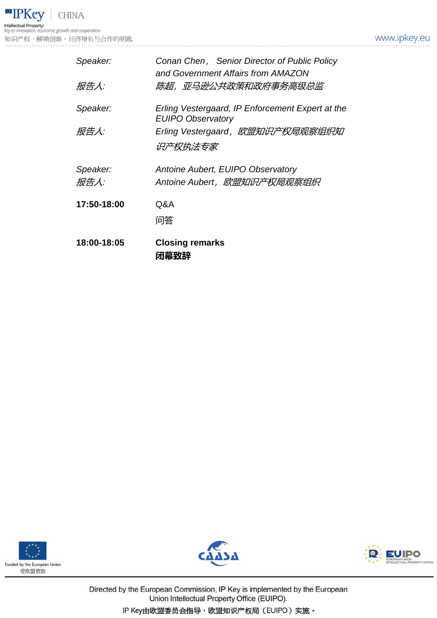**• IPKey CHINA Intellectual Property:**<br>Key to innovation, economic growth and cooperation 知识产权,解锁创新、经济增长与合作的钥匙

| Speaker:         | Conan Chen, Senior Director of Public Policy<br>and Government Affairs from AMAZON |
|------------------|------------------------------------------------------------------------------------|
| 报告人:             | 陈超,亚马逊公共政策和政府事务高级总监                                                                |
| Speaker:         | Erling Vestergaard, IP Enforcement Expert at the<br><b>EUIPO Observatory</b>       |
| 报告人:             | Erling Vestergaard,欧盟知识产权局观察组织知<br>识产权执法专家                                         |
| Speaker:<br>报告人: | Antoine Aubert, EUIPO Observatory<br>Antoine Aubert, 欧盟知识产权局观察组织                   |
| 17:50-18:00      | Q&A<br>问答                                                                          |
| 18:00-18:05      | <b>Closing remarks</b><br>闭幕致辞                                                     |







Directed by the European Commission, IP Key is implemented by the European Union Intellectual Property Office (EUIPO).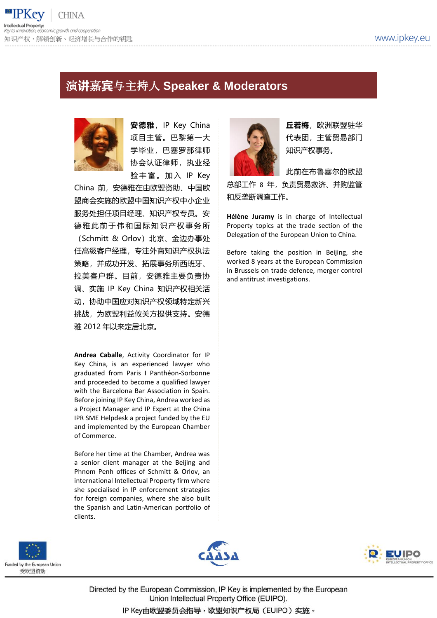

### 演**讲**嘉**宾**与主持人 **Speaker & Moderators**



安德雅, IP Key China 项目主管。巴黎第一大 学毕业,巴塞罗那律师 协会认证律师,执业经 验丰富。加入 IP Key

China 前,安德雅在由欧盟资助、中国欧 盟商会实施的欧盟中国知识产权中小企业 服务处担任项目经理、知识产权专员。安 德雅此前于伟和国际知识产权事务所 (Schmitt & Orlov)北京、金边办事处 任高级客户经理,专注外商知识产权执法 策略,并成功开发、拓展事务所西班牙、 拉美客户群。目前,安德雅主要负责协 调、实施 IP Key China 知识产权相关活 动,协助中国应对知识产权领域特定新兴 挑战,为欧盟利益攸关方提供支持。安德 雅 2012 年以来定居北京。

**Andrea Caballe**, Activity Coordinator for IP Key China, is an experienced lawyer who graduated from Paris I Panthéon-Sorbonne and proceeded to become a qualified lawyer with the Barcelona Bar Association in Spain. Before joining IP Key China, Andrea worked as a Project Manager and IP Expert at the China IPR SME Helpdesk a project funded by the EU and implemented by the European Chamber of Commerce.

Before her time at the Chamber, Andrea was a senior client manager at the Beijing and Phnom Penh offices of Schmitt & Orlov, an international Intellectual Property firm where she specialised in IP enforcement strategies for foreign companies, where she also built the Spanish and Latin-American portfolio of clients.



**丘若梅**,欧洲联盟驻华 代表团,主管贸易部门 知识产权事务。

此前在布鲁塞尔的欧盟 总部工作 8 年,负责贸易救济、并购监管 和反垄断调查工作。

**Hélène Juramy** is in charge of Intellectual Property topics at the trade section of the Delegation of the European Union to China.

Before taking the position in Beijing, she worked 8 years at the European Commission in Brussels on trade defence, merger control and antitrust investigations.







Directed by the European Commission, IP Key is implemented by the European Union Intellectual Property Office (EUIPO).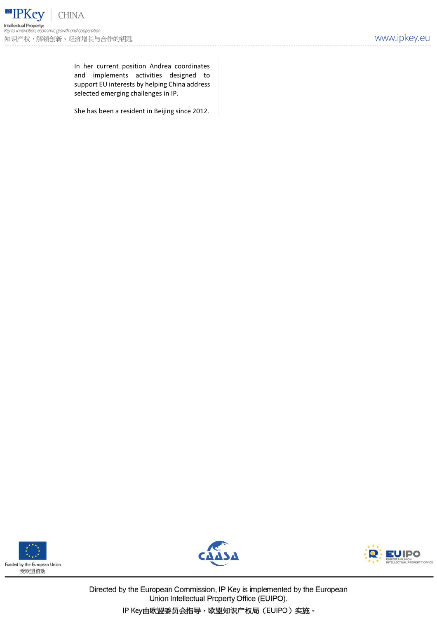In her current position Andrea coordinates and implements activities designed to support EU interests by helping China address selected emerging challenges in IP.

She has been a resident in Beijing since 2012.







Directed by the European Commission, IP Key is implemented by the European Union Intellectual Property Office (EUIPO).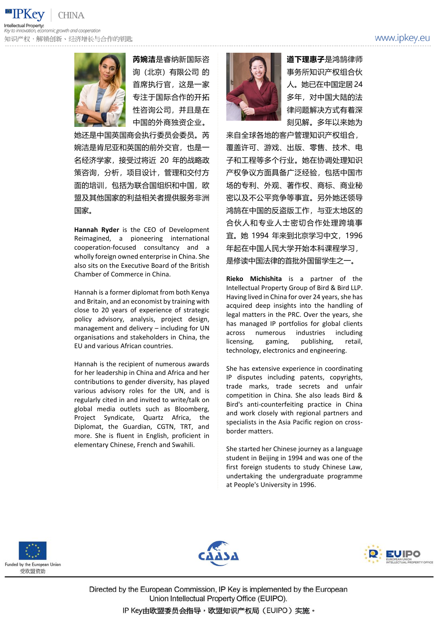www.ipkey.eu





**芮婉洁**是睿纳新国际咨 询(北京)有限公司 的 首席执行官,这是一家 专注于国际合作的开拓 性咨询公司,并且是在 中国的外商独资企业。

她还是中国英国商会执行委员会委员。芮 婉洁是肯尼亚和英国的前外交官,也是一 名经济学家,接受过将近 20 年的战略政 策咨询,分析,项目设计,管理和交付方 面的培训,包括为联合国组织和中国,欧 盟及其他国家的利益相关者提供服务非洲 国家。

**Hannah Ryder** is the CEO of Development Reimagined, a pioneering international cooperation-focused consultancy and a wholly foreign owned enterprise in China. She also sits on the Executive Board of the British Chamber of Commerce in China.

Hannah is a former diplomat from both Kenya and Britain, and an economist by training with close to 20 years of experience of strategic policy advisory, analysis, project design, management and delivery – including for UN organisations and stakeholders in China, the EU and various African countries.

Hannah is the recipient of numerous awards for her leadership in China and Africa and her contributions to gender diversity, has played various advisory roles for the UN, and is regularly cited in and invited to write/talk on global media outlets such as Bloomberg, Project Syndicate, Quartz Africa, the Diplomat, the Guardian, CGTN, TRT, and more. She is fluent in English, proficient in elementary Chinese, French and Swahili.



**道下理惠子**是鸿鹄律师 事务所知识产权组合伙 人。她已在中国定居24 多年,对中国大陆的法 律问题解决方式有着深 刻见解。多年以来她为

来自全球各地的客户管理知识产权组合, 覆盖许可、游戏、出版、零售、技术、电 子和工程等多个行业。她在协调处理知识 产权争议方面具备广泛经验,包括中国市 场的专利、外观、著作权、商标、商业秘 密以及不公平竞争等事宜。另外她还领导 鸿鹄在中国的反盗版工作,与亚太地区的 合伙人和专业人士密切合作处理跨境事 宜。她 1994 年来到北京学习中文,1996 年起在中国人民大学开始本科课程学习, 是修读中国法律的首批外国留学生之一。

**Rieko Michishita** is a partner of the Intellectual Property Group of Bird & Bird LLP. Having lived in China for over 24 years, she has acquired deep insights into the handling of legal matters in the PRC. Over the years, she has managed IP portfolios for global clients across numerous industries including licensing, gaming, publishing, retail, technology, electronics and engineering.

She has extensive experience in coordinating IP disputes including patents, copyrights, trade marks, trade secrets and unfair competition in China. She also leads Bird & Bird's anti-counterfeiting practice in China and work closely with regional partners and specialists in the Asia Pacific region on crossborder matters.

She started her Chinese journey as a language student in Beijing in 1994 and was one of the first foreign students to study Chinese Law, undertaking the undergraduate programme at People's University in 1996.







Directed by the European Commission, IP Key is implemented by the European Union Intellectual Property Office (EUIPO).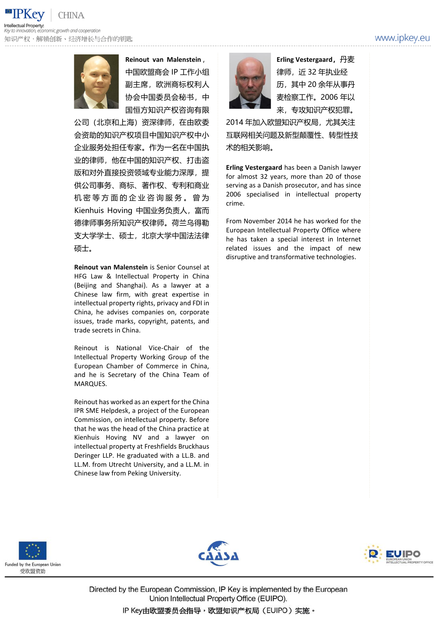



**Reinout van Malenstein**, 中国欧盟商会 IP 工作小组 副主席,欧洲商标权利人 协会中国委员会秘书,中 国恒方知识产权咨询有限

公司(北京和上海)资深律师,在由欧委 会资助的知识产权项目中国知识产权中小 企业服务处担任专家。作为一名在中国执 业的律师,他在中国的知识产权、打击盗 版和对外直接投资领域专业能力深厚,提 供公司事务、商标、著作权、专利和商业 机 密 等 方 面 的 企 业 咨 询 服 务 。 曾 为 Kienhuis Hoving 中国业务负责人,富而 德律师事务所知识产权律师。荷兰乌得勒 支大学学士、硕士,北京大学中国法法律 硕士。

**Reinout van Malenstein** is Senior Counsel at HFG Law & Intellectual Property in China (Beijing and Shanghai). As a lawyer at a Chinese law firm, with great expertise in intellectual property rights, privacy and FDI in China, he advises companies on, corporate issues, trade marks, copyright, patents, and trade secrets in China.

Reinout is National Vice-Chair of the Intellectual Property Working Group of the European Chamber of Commerce in China, and he is Secretary of the China Team of MARQUES.

Reinout has worked as an expert for the China IPR SME Helpdesk, a project of the European Commission, on intellectual property. Before that he was the head of the China practice at Kienhuis Hoving NV and a lawyer on intellectual property at Freshfields Bruckhaus Deringer LLP. He graduated with a LL.B. and LL.M. from Utrecht University, and a LL.M. in Chinese law from Peking University.



**Erling Vestergaard,**丹麦 律师,近 32 年执业经 历,其中 20 余年从事丹 麦检察工作。2006 年以 来,专攻知识产权犯罪。

2014 年加入欧盟知识产权局,尤其关注 互联网相关问题及新型颠覆性、转型性技 术的相关影响。

**Erling Vestergaard** has been a Danish lawyer for almost 32 years, more than 20 of those serving as a Danish prosecutor, and has since 2006 specialised in intellectual property crime.

From November 2014 he has worked for the European Intellectual Property Office where he has taken a special interest in Internet related issues and the impact of new disruptive and transformative technologies.







Directed by the European Commission, IP Key is implemented by the European Union Intellectual Property Office (EUIPO).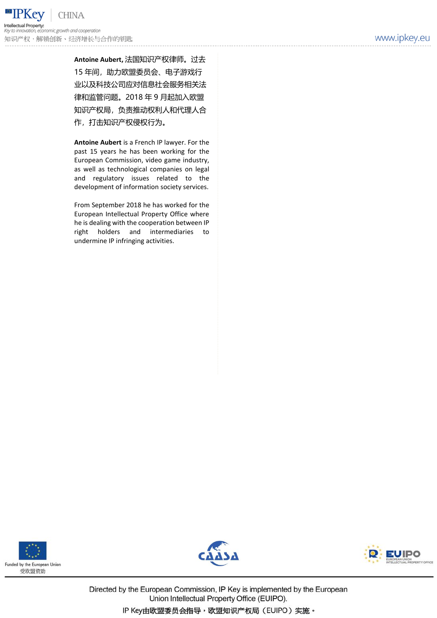**Antoine Aubert,** 法国知识产权律师。过去 15 年间,助力欧盟委员会、电子游戏行 业以及科技公司应对信息社会服务相关法 律和监管问题。2018 年 9 月起加入欧盟 知识产权局,负责推动权利人和代理人合 作,打击知识产权侵权行为。

**Antoine Aubert** is a French IP lawyer. For the past 15 years he has been working for the European Commission, video game industry, as well as technological companies on legal and regulatory issues related to the development of information society services.

From September 2018 he has worked for the European Intellectual Property Office where he is dealing with the cooperation between IP right holders and intermediaries to undermine IP infringing activities.







Directed by the European Commission, IP Key is implemented by the European Union Intellectual Property Office (EUIPO).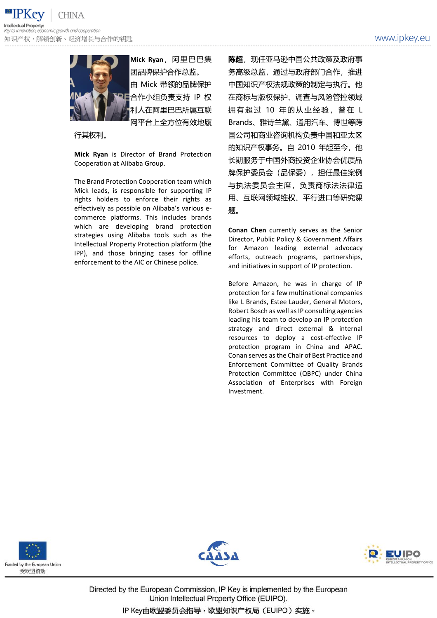**CHINA** mic growth and cooperation 知识产权,解锁创新、经济增长与合作的钥匙



**Mick Ryan**,阿里巴巴集 团品牌保护合作总监。 由 Mick 带领的品牌保护 合作小组负责支持 IP 权 利人在阿里巴巴所属互联 网平台上全方位有效地履

行其权利。

**Mick Ryan** is Director of Brand Protection Cooperation at Alibaba Group.

The Brand Protection Cooperation team which Mick leads, is responsible for supporting IP rights holders to enforce their rights as effectively as possible on Alibaba's various ecommerce platforms. This includes brands which are developing brand protection strategies using Alibaba tools such as the Intellectual Property Protection platform (the IPP), and those bringing cases for offline enforcement to the AIC or Chinese police.

**陈超**,现任亚马逊中国公共政策及政府事 务高级总监,通过与政府部门合作,推进 中国知识产权法规政策的制定与执行。他 在商标与版权保护、调查与风险管控领域 拥有超过 10 年的从业经验, 曾在 L Brands、雅诗兰黛、通用汽车、博世等跨 国公司和商业咨询机构负责中国和亚太区 的知识产权事务。自 2010 年起至今, 他 长期服务于中国外商投资企业协会优质品 牌保护委员会(品保委), 担任最佳案例 与执法委员会主席,负责商标法法律适 用、互联网领域维权、平行进口等研究课 题。

**Conan Chen** currently serves as the Senior Director, Public Policy & Government Affairs for Amazon leading external advocacy efforts, outreach programs, partnerships, and initiatives in support of IP protection.

Before Amazon, he was in charge of IP protection for a few multinational companies like L Brands, Estee Lauder, General Motors, Robert Bosch as well as IP consulting agencies leading his team to develop an IP protection strategy and direct external & internal resources to deploy a cost-effective IP protection program in China and APAC. Conan serves as the Chair of Best Practice and Enforcement Committee of Quality Brands Protection Committee (QBPC) under China Association of Enterprises with Foreign Investment.







Directed by the European Commission, IP Key is implemented by the European Union Intellectual Property Office (EUIPO).